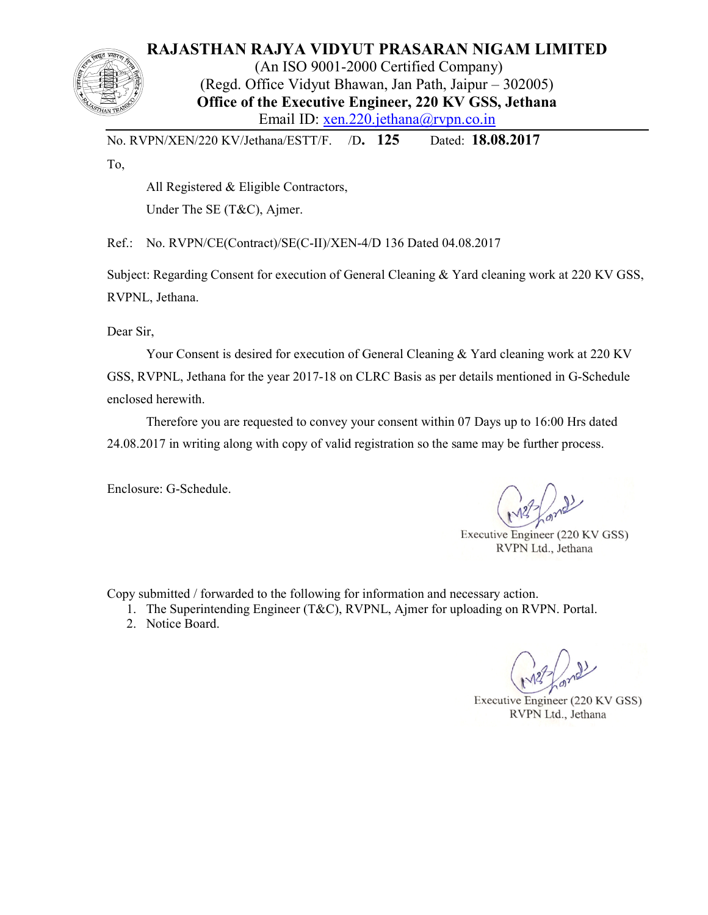# **RAJASTHAN RAJYA VIDYUT PRASARAN NIGAM LIMITED**

(An ISO 9001-2000 Certified Company) (Regd. Office Vidyut Bhawan, Jan Path, Jaipur – 302005) **Office of the Executive Engineer, 220 KV GSS, Jethana**  Email ID: xen.220.jethana@rvpn.co.in

No. RVPN/XEN/220 KV/Jethana/ESTT/F. /D**. 125** Dated: **18.08.2017**

To,

All Registered & Eligible Contractors,

Under The SE (T&C), Ajmer.

Ref.: No. RVPN/CE(Contract)/SE(C-II)/XEN-4/D 136 Dated 04.08.2017

Subject: Regarding Consent for execution of General Cleaning & Yard cleaning work at 220 KV GSS, RVPNL, Jethana.

Dear Sir,

 Your Consent is desired for execution of General Cleaning & Yard cleaning work at 220 KV GSS, RVPNL, Jethana for the year 2017-18 on CLRC Basis as per details mentioned in G-Schedule enclosed herewith.

 Therefore you are requested to convey your consent within 07 Days up to 16:00 Hrs dated 24.08.2017 in writing along with copy of valid registration so the same may be further process.

Enclosure: G-Schedule.

Executive Engineer (220 KV GSS) RVPN Ltd., Jethana

Copy submitted / forwarded to the following for information and necessary action.

1. The Superintending Engineer (T&C), RVPNL, Ajmer for uploading on RVPN. Portal.

2. Notice Board.

Executive Engineer (220 KV GSS) RVPN Ltd., Jethana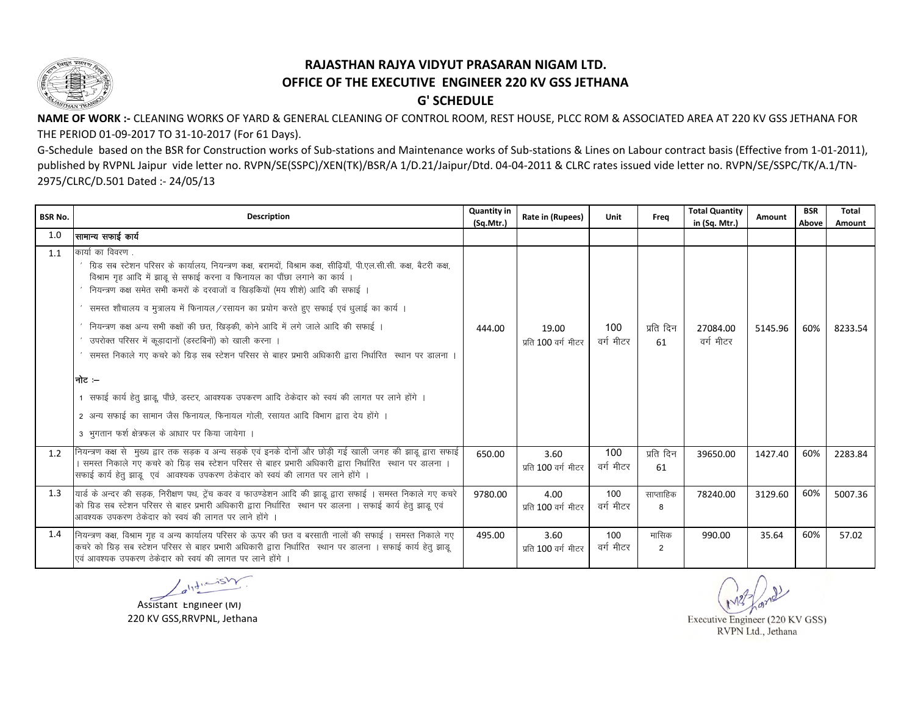

## RAJASTHAN RAJYA VIDYUT PRASARAN NIGAM LTD. OFFICE OF THE EXECUTIVE ENGINEER 220 KV GSS JETHANA **G' SCHEDULE**

NAME OF WORK :- CLEANING WORKS OF YARD & GENERAL CLEANING OF CONTROL ROOM, REST HOUSE, PLCC ROM & ASSOCIATED AREA AT 220 KV GSS JETHANA FOR THE PERIOD 01-09-2017 TO 31-10-2017 (For 61 Days).

G-Schedule based on the BSR for Construction works of Sub-stations and Maintenance works of Sub-stations & Lines on Labour contract basis (Effective from 1-01-2011), published by RVPNL Jaipur vide letter no. RVPN/SE(SSPC)/XEN(TK)/BSR/A 1/D.21/Jaipur/Dtd. 04-04-2011 & CLRC rates issued vide letter no. RVPN/SE/SSPC/TK/A.1/TN-2975/CLRC/D.501 Dated :- 24/05/13

| <b>BSR No.</b> | <b>Description</b>                                                                                                                                                                                                                                                                                                                                                                                                                                                                                                                                                                                                                                                                                                                                                                                                                                                                                          | <b>Quantity in</b><br>(Sq.Mtr.) | Rate in (Rupees)             | Unit             | Frea                    | <b>Total Quantity</b><br>in (Sq. Mtr.) | Amount  | <b>BSR</b><br>Above | Total<br>Amount |
|----------------|-------------------------------------------------------------------------------------------------------------------------------------------------------------------------------------------------------------------------------------------------------------------------------------------------------------------------------------------------------------------------------------------------------------------------------------------------------------------------------------------------------------------------------------------------------------------------------------------------------------------------------------------------------------------------------------------------------------------------------------------------------------------------------------------------------------------------------------------------------------------------------------------------------------|---------------------------------|------------------------------|------------------|-------------------------|----------------------------------------|---------|---------------------|-----------------|
| 1.0            | सामान्य सफाई कार्य                                                                                                                                                                                                                                                                                                                                                                                                                                                                                                                                                                                                                                                                                                                                                                                                                                                                                          |                                 |                              |                  |                         |                                        |         |                     |                 |
| 1.1            | कार्या का विवरण .<br>ग्रिड सब स्टेशन परिसर के कार्यालय, नियन्त्रण कक्ष, बरामदों, विश्राम कक्ष, सीढ़ियाँ, पी.एल.सी.सी. कक्ष, बैटरी कक्ष,<br>विश्राम गृह आदि में झाडू से सफाई करना व फिनायल का पौंछा लगाने का कार्य<br>नियन्त्रण कक्ष समेत सभी कमरों के दरवाजों व खिड़कियों (मय शीशे) आदि की सफाई ।<br>समस्त शौचालय व मुत्रालय में फिनायल/रसायन का प्रयोग करते हुए सफाई एवं धुलाई का कार्य ।<br>नियन्त्रण कक्ष अन्य सभी कक्षों की छत, खिड़की, कोने आदि में लगे जाले आदि की सफाई ।<br>उपरोक्त परिसर में कूड़ादानों (डस्टबिनों) को खाली करना ।<br>समस्त निकाले गए कचरे को ग्रिड़ सब स्टेशन परिसर से बाहर प्रभारी अधिकारी द्वारा निर्धारित स्थान पर डालना ।<br>।नोट ≔<br>1 सफाई कार्य हेतु झाडू, पौंछे, डस्टर, आवश्यक उपकरण आदि ठेकेदार को स्वयं की लागत पर लाने होंगे ।<br>2 अन्य सफाई का सामान जैस फिनायल, फिनायल गोली, रसायत आदि विभाग द्वारा देय होंगे ।<br>3 भुगतान फर्श क्षेत्रफल के आधार पर किया जायेगा । | 444.00                          | 19.00<br>प्रति 100 वर्ग मीटर | 100<br>वर्ग मीटर | प्रति दिन<br>61         | 27084.00<br>वर्ग मीटर                  | 5145.96 | 60%                 | 8233.54         |
| 1.2            | नियन्त्रण कक्ष से  मुख्य द्वार तक सड़क व अन्य सड़के एवं इनके दोनों और छोड़ी गई खाली जगह की झाडू द्वारा सफाई<br>। समस्त निकाले गए कचरे को ग्रिड़ सब स्टेशन परिसर से बाहर प्रभारी अधिकारी द्वारा निर्धारित  स्थान पर डालना ।<br>सफाई कार्य हेतु झाडू एवं आवश्यक उपकरण ठेकेदार को स्वयं की लागत पर लाने होंगे ।                                                                                                                                                                                                                                                                                                                                                                                                                                                                                                                                                                                                | 650.00                          | 3.60<br>प्रति 100 वर्ग मीटर  | 100<br>वर्ग मीटर | प्रति दिन<br>61         | 39650.00                               | 1427.40 | 60%                 | 2283.84         |
| 1.3            | यार्ड के अन्दर की सड़क, निरीक्षण पथ, ट्रेंच कवर व फाउण्डेशन आदि की झाडू द्वारा सफाई । समस्त निकाले गए कचरे<br>को ग्रिड सब स्टेशन परिसर से बाहर प्रभारी अधिकारी द्वारा निर्धारित स्थान पर डालना । सफाई कार्य हेतु झाडू एवं<br>आवश्यक उपकरण ठेकेदार को स्वयं की लागत पर लाने होंगे                                                                                                                                                                                                                                                                                                                                                                                                                                                                                                                                                                                                                            | 9780.00                         | 4.00<br>प्रति 100 वर्ग मीटर  | 100<br>वर्ग मीटर | साप्ताहिक<br>8          | 78240.00                               | 3129.60 | 60%                 | 5007.36         |
| 1.4            | नियन्त्रण कक्ष, विश्राम गृह व अन्य कार्यालय परिसर के ऊपर की छत व बरसाती नालों की सफाई । समस्त निकाले गए<br>कचरे को ग्रिड़ सब स्टेशन परिसर से बाहर प्रभारी अधिकारी द्वारा निर्धारित) स्थान पर डालना । सफाई कार्य हेतु झाडू<br>एवं आवश्यक उपकरण ठेकेदार को स्वयं की लागत पर लाने होंगे                                                                                                                                                                                                                                                                                                                                                                                                                                                                                                                                                                                                                        | 495.00                          | 3.60<br>प्रति 100 वर्ग मीटर  | 100<br>वर्ग मीटर | मासिक<br>$\overline{2}$ | 990.00                                 | 35.64   | 60%                 | 57.02           |

 $\angle a^{\prime}$ 

Assistant Engineer (M) 220 KV GSS, RRVPNL, Jethana

Executive Engineer (220 KV GSS) RVPN Ltd., Jethana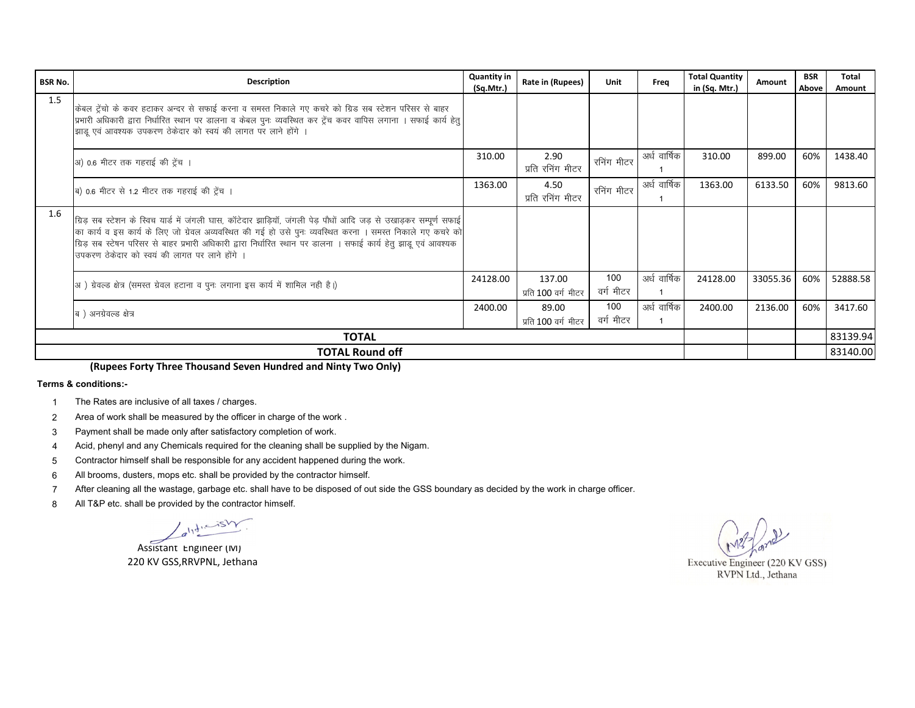| <b>BSR No.</b>         | <b>Description</b>                                                                                                                                                                                                                                                                                                                                                                                    | <b>Quantity in</b><br>(Sq.Mtr.) | Rate in (Rupees)              | Unit             | Frea         | <b>Total Quantity</b><br>in (Sq. Mtr.) | Amount   | <b>BSR</b><br>Above | Total<br>Amount |
|------------------------|-------------------------------------------------------------------------------------------------------------------------------------------------------------------------------------------------------------------------------------------------------------------------------------------------------------------------------------------------------------------------------------------------------|---------------------------------|-------------------------------|------------------|--------------|----------------------------------------|----------|---------------------|-----------------|
| 1.5                    | केबल ट्रेंचो के कवर हटाकर अन्दर से सफाई करना व समस्त निकाले गए कचरे को ग्रिड सब स्टेशन परिसर से बाहर<br>प्रभारी अधिकारी द्वारा निर्धारित स्थान पर डालना व केबल पुनः व्यवस्थित कर ट्रेंच कवर वापिस लगाना । सफाई कार्य हेतु<br>झाडू एवं आवश्यक उपकरण ठेकेदार को स्वयं की लागत पर लाने होंगे ।                                                                                                           |                                 |                               |                  |              |                                        |          |                     |                 |
|                        | अ) 0.6 मीटर तक गहराई की ट्रेंच ।                                                                                                                                                                                                                                                                                                                                                                      | 310.00                          | 2.90<br>प्रति रनिंग मीटर      | रनिंग मीटर       | अर्ध वार्षिक | 310.00                                 | 899.00   | 60%                 | 1438.40         |
|                        | ब) 0.6 मीटर से 1.2 मीटर तक गहराई की ट्रेंच ।                                                                                                                                                                                                                                                                                                                                                          | 1363.00                         | 4.50<br>प्रति रनिंग मीटर      | रनिंग मीटर       | अर्ध वार्षिक | 1363.00                                | 6133.50  | 60%                 | 9813.60         |
| 1.6                    | ग्रिड़ सब स्टेशन के स्विच यार्ड में जंगली घास, कॉटेदार झाड़ियॉ, जंगली पेड़ पौधों आदि जड़ से उखाड़कर सम्पूर्ण सफाई<br>का कार्य व इस कार्य के लिए जो ग्रेवल अव्यवस्थित की गई हो उसे पुनः व्यवस्थित करना । समस्त निकाले गए कचरे को<br>ग्रिड़ सब स्टेषन परिसर से बाहर प्रभारी अधिकारी द्वारा निर्धारित स्थान पर डालना । सफाई कार्य हेतु झाडू एवं आवश्यक<br>उपकरण ठेकेदार को स्वयं की लागत पर लाने होंगे । |                                 |                               |                  |              |                                        |          |                     |                 |
|                        | 3] ग्रेवल्ड क्षेत्र (समस्त ग्रेवल हटाना व पुनः लगाना इस कार्य में शामिल नही है।)                                                                                                                                                                                                                                                                                                                      | 24128.00                        | 137.00<br>प्रति 100 वर्ग मीटर | 100<br>वर्ग मीटर | अर्ध वार्षिक | 24128.00                               | 33055.36 | 60%                 | 52888.58        |
|                        | ब ) अनग्रेवल्ड क्षेत्र                                                                                                                                                                                                                                                                                                                                                                                | 2400.00                         | 89.00<br>प्रति 100 वर्ग मीटर  | 100<br>वर्ग मीटर | अर्ध वार्षिक | 2400.00                                | 2136.00  | 60%                 | 3417.60         |
| <b>TOTAL</b>           |                                                                                                                                                                                                                                                                                                                                                                                                       |                                 |                               |                  |              |                                        |          |                     | 83139.94        |
| <b>TOTAL Round off</b> |                                                                                                                                                                                                                                                                                                                                                                                                       |                                 |                               |                  |              |                                        |          | 83140.00            |                 |

(Rupees Forty Three Thousand Seven Hundred and Ninty Two Only)

Terms & conditions:-

- The Rates are inclusive of all taxes / charges.  $\mathbf{1}$
- Area of work shall be measured by the officer in charge of the work.  $\overline{2}$
- Payment shall be made only after satisfactory completion of work.  $\mathbf{3}$
- Acid, phenyl and any Chemicals required for the cleaning shall be supplied by the Nigam.  $\overline{4}$
- Contractor himself shall be responsible for any accident happened during the work. 5
- All brooms, dusters, mops etc. shall be provided by the contractor himself. 6
- $\overline{7}$ After cleaning all the wastage, garbage etc. shall have to be disposed of out side the GSS boundary as decided by the work in charge officer.
- 8 All T&P etc. shall be provided by the contractor himself.

 $\sqrt{a^{11}\frac{d^{11}-154\gamma}{d^{11}}}.$ 

Assistant Engineer (M) 220 KV GSS, RRVPNL, Jethana

Executive Engineer (220 KV GSS)

RVPN Ltd., Jethana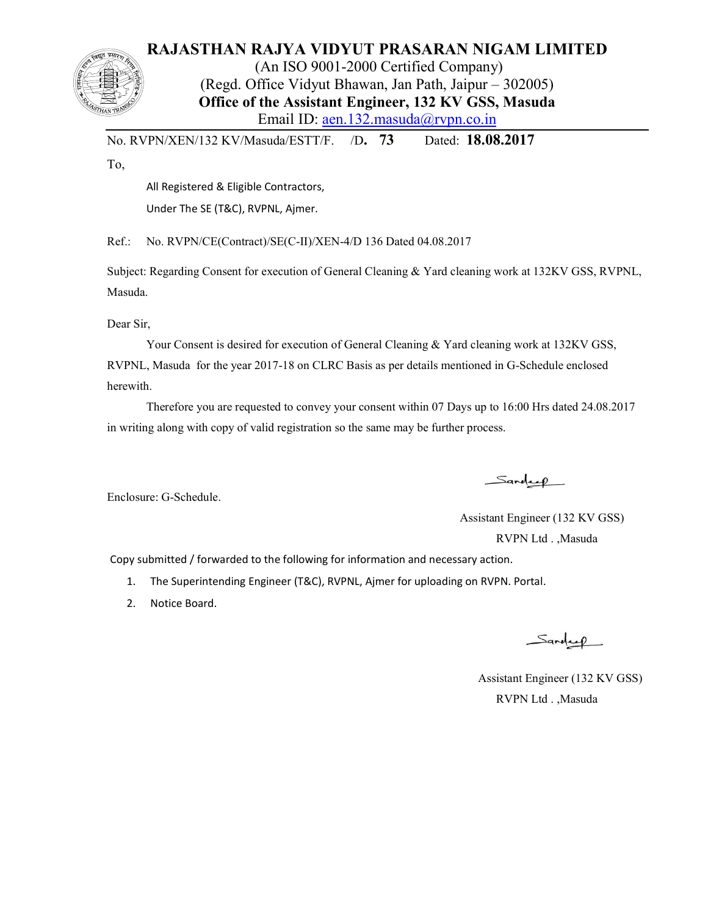# **RAJASTHAN RAJYA VIDYUT PRASARAN NIGAM LIMITED**

(An ISO 9001-2000 Certified Company) (Regd. Office Vidyut Bhawan, Jan Path, Jaipur – 302005) **Office of the Assistant Engineer, 132 KV GSS, Masuda**  Email ID: aen.132.masuda@rvpn.co.in

No. RVPN/XEN/132 KV/Masuda/ESTT/F. /D**. 73** Dated: **18.08.2017**

To,

All Registered & Eligible Contractors,

Under The SE (T&C), RVPNL, Ajmer.

Ref.: No. RVPN/CE(Contract)/SE(C-II)/XEN-4/D 136 Dated 04.08.2017

Subject: Regarding Consent for execution of General Cleaning & Yard cleaning work at 132KV GSS, RVPNL, Masuda.

Dear Sir,

Your Consent is desired for execution of General Cleaning & Yard cleaning work at 132KV GSS, RVPNL, Masuda for the year 2017-18 on CLRC Basis as per details mentioned in G-Schedule enclosed herewith.

 Therefore you are requested to convey your consent within 07 Days up to 16:00 Hrs dated 24.08.2017 in writing along with copy of valid registration so the same may be further process.

Sandeep

Enclosure: G-Schedule.

 Assistant Engineer (132 KV GSS) RVPN Ltd . ,Masuda

Copy submitted / forwarded to the following for information and necessary action.

- 1. The Superintending Engineer (T&C), RVPNL, Ajmer for uploading on RVPN. Portal.
- 2. Notice Board.

Sandeep

 Assistant Engineer (132 KV GSS) RVPN Ltd . ,Masuda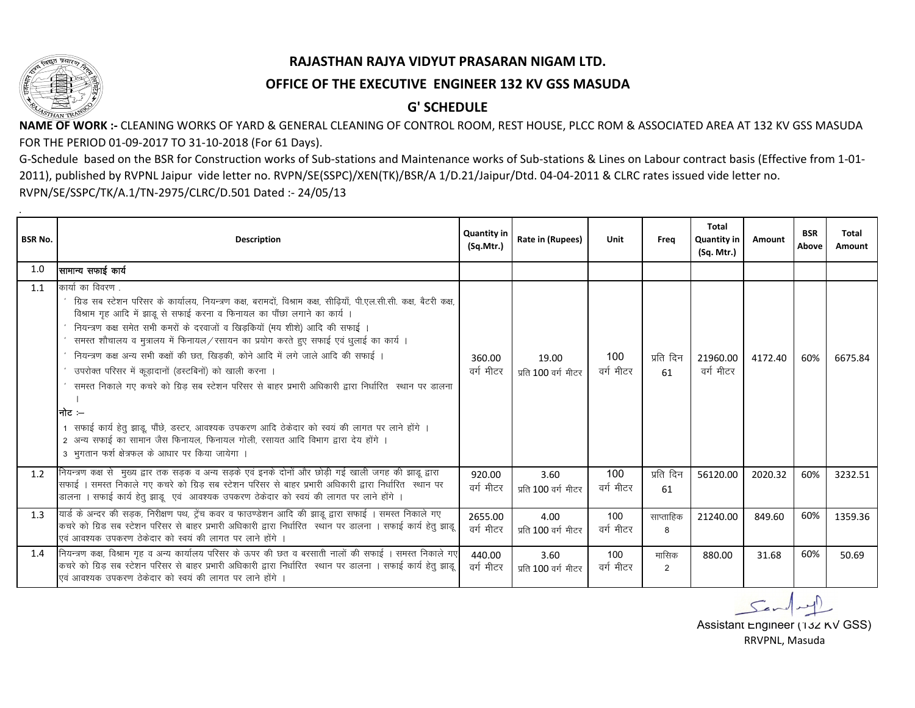.

### **RAJASTHAN RAJYA VIDYUT PRASARAN NIGAM LTD.**

### **OFFICE OF THE EXECUTIVE ENGINEER 132 KV GSS MASUDA**

## **G' SCHEDULE**

**NAME OF WORK :-** CLEANING WORKS OF YARD & GENERAL CLEANING OF CONTROL ROOM, REST HOUSE, PLCC ROM & ASSOCIATED AREA AT 132 KV GSS MASUDA FOR THE PERIOD 01-09-2017 TO 31-10-2018 (For 61 Days).

G-Schedule based on the BSR for Construction works of Sub-stations and Maintenance works of Sub-stations & Lines on Labour contract basis (Effective from 1-01- 2011), published by RVPNL Jaipur vide letter no. RVPN/SE(SSPC)/XEN(TK)/BSR/A 1/D.21/Jaipur/Dtd. 04-04-2011 & CLRC rates issued vide letter no. RVPN/SE/SSPC/TK/A.1/TN-2975/CLRC/D.501 Dated :- 24/05/13

| <b>Description</b>                                                                                                                                                                                                                                                                                                                                                                                                                                                                                                                                                                                                                                                                                                                                                                                                                                                                                         | <b>Quantity in</b><br>(SqMtr.)                                                                         | Rate in (Rupees)                                                                                        | Unit             | Frea            | <b>Total</b><br><b>Quantity in</b><br>(Sq. Mtr.) | Amount  | <b>BSR</b><br>Above | <b>Total</b><br>Amount |
|------------------------------------------------------------------------------------------------------------------------------------------------------------------------------------------------------------------------------------------------------------------------------------------------------------------------------------------------------------------------------------------------------------------------------------------------------------------------------------------------------------------------------------------------------------------------------------------------------------------------------------------------------------------------------------------------------------------------------------------------------------------------------------------------------------------------------------------------------------------------------------------------------------|--------------------------------------------------------------------------------------------------------|---------------------------------------------------------------------------------------------------------|------------------|-----------------|--------------------------------------------------|---------|---------------------|------------------------|
| सामान्य सफाई कार्य                                                                                                                                                                                                                                                                                                                                                                                                                                                                                                                                                                                                                                                                                                                                                                                                                                                                                         |                                                                                                        |                                                                                                         |                  |                 |                                                  |         |                     |                        |
| कार्या का विवरण<br>ग्रिड सब स्टेशन परिसर के कार्यालय, नियन्त्रण कक्ष, बरामदों, विश्राम कक्ष, सीढ़ियाँ, पी.एल.सी.सी. कक्ष, बैटरी कक्ष,<br>विश्राम गृह आदि में झाडू से सफाई करना व फिनायल का पौंछा लगाने का कार्य ।<br>नियन्त्रण कक्ष समेत सभी कमरों के दरवाजों व खिड़कियों (मय शीशे) आदि की सफाई ।<br>समस्त शौचालय व मुत्रालय में फिनायल/रसायन का प्रयोग करते हुए सफाई एवं धुलाई का कार्य ।<br>नियन्त्रण कक्ष अन्य सभी कक्षों की छत, खिड़की, कोने आदि में लगे जाले आदि की सफाई ।<br>उपरोक्त परिसर में कूड़ादानों (डस्टबिनों) को खाली करना ।<br>समस्त निकाले गए कचरे को ग्रिड़ सब स्टेशन परिसर से बाहर प्रभारी अधिकारी द्वारा निर्धारित  स्थान पर डालना<br>नोिट ≔<br>1 सफाई कार्य हेतु झाडू, पौंछे, डस्टर, आवश्यक उपकरण आदि ठेकेदार को स्वयं की लागत पर लाने होंगे ।<br>2 अन्य सफाई का सामान जैस फिनायल, फिनायल गोली, रसायत आदि विभाग द्वारा देय होंगे ।<br>3 भुगतान फर्श क्षेत्रफल के आधार पर किया जायेगा । | 360.00<br>वर्ग मीटर                                                                                    | 19.00<br>प्रति 100 वर्ग मीटर                                                                            | 100<br>वर्ग मीटर | प्रति दिन<br>61 | 21960.00<br>वर्ग मीटर                            | 4172.40 | 60%                 | 6675.84                |
| सफाई । समस्त निकाले गए कचरे को ग्रिड़ सब स्टेशन परिसर से बाहर प्रभारी अधिकारी द्वारा निर्धारित स्थान पर<br>डालना । सफाई कार्य हेतु झाडू एवं आवश्यक उपकरण ठेकेदार को स्वयं की लागत पर लाने होंगे ।                                                                                                                                                                                                                                                                                                                                                                                                                                                                                                                                                                                                                                                                                                          | 920.00<br>वर्ग मीटर                                                                                    | 3.60<br>प्रति 100 वर्ग मीटर                                                                             | 100<br>वर्ग मीटर | प्रति दिन<br>61 | 56120.00                                         | 2020.32 | 60%                 | 3232.51                |
| यार्ड के अन्दर की सड़क, निरीक्षण पथ, ट्रेंच कवर व फाउण्डेशन आदि की झाडू द्वारा सफाई । समस्त निकाले गए<br>कचरे को ग्रिड सब स्टेशन परिसर से बाहर प्रभारी अधिकारी द्वारा निर्धारित) स्थान पर डालना । सफाई कार्य हेतु झाडू<br>एवं आवश्यक उपकरण ठेकेदार को स्वयं की लागत पर लाने होंगे                                                                                                                                                                                                                                                                                                                                                                                                                                                                                                                                                                                                                          | 2655.00<br>वर्ग मीटर                                                                                   | 4.00<br>प्रति 100 वर्ग मीटर                                                                             | 100<br>वर्ग मीटर | साप्ताहिक<br>8  | 21240.00                                         | 849.60  | 60%                 | 1359.36                |
| कचरे को ग्रिड़ सब स्टेशन परिसर से बाहर प्रभारी अधिकारी द्वारा निर्धारित) स्थान पर डालना । सफाई कार्य हेतु झाडू<br>एवं आवश्यक उपकरण ठेकेदार को स्वयं की लागत पर लाने होंगे                                                                                                                                                                                                                                                                                                                                                                                                                                                                                                                                                                                                                                                                                                                                  | 440.00<br>वर्ग मीटर                                                                                    | 3.60<br>प्रति 100 वर्ग मीटर                                                                             | 100<br>वर्ग मीटर | मासिक<br>2      | 880.00                                           | 31.68   | 60%                 | 50.69                  |
|                                                                                                                                                                                                                                                                                                                                                                                                                                                                                                                                                                                                                                                                                                                                                                                                                                                                                                            | नियन्त्रण कक्ष से  मुख्य द्वार तक सड़क व अन्य सड़के एवं इनके दोनों और छोड़ी गई खाली जगह की झाडू द्वारा | नियन्त्रण कक्ष, विश्राम गृह व अन्य कार्यालय परिसर के ऊपर की छत व बरसाती नालों की सफाई । समस्त निकाले गए |                  |                 |                                                  |         |                     |                        |

RRVPNL, Masuda Assistant Engineer (132 KV GSS)